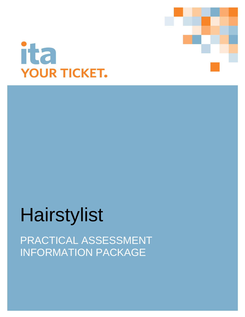



# Hairstylist

PRACTICAL ASSESSMENT INFORMATION PACKAGE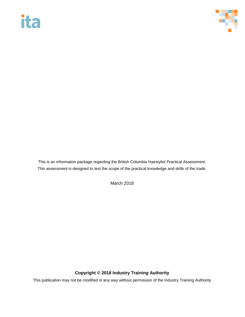# ita



This is an information package regarding the British Columbia Hairstylist Practical Assessment. This assessment is designed to test the scope of the practical knowledge and skills of the trade.

March 2018

#### **Copyright © 2018 Industry Training Authority**

This publication may not be modified in any way without permission of the Industry Training Authority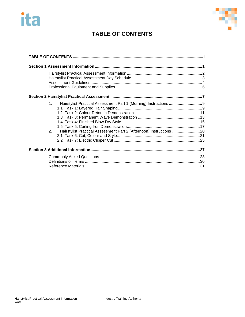# <span id="page-2-0"></span>ita



## **TABLE OF CONTENTS**

| 1 <sup>1</sup><br>2.<br>Hairstylist Practical Assessment Part 2 (Afternoon) Instructions 20 |
|---------------------------------------------------------------------------------------------|
|                                                                                             |
|                                                                                             |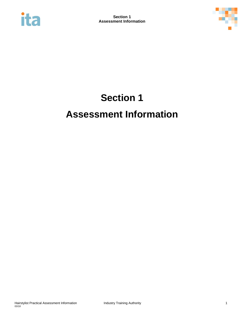<span id="page-3-0"></span>



## **Section 1 Assessment Information**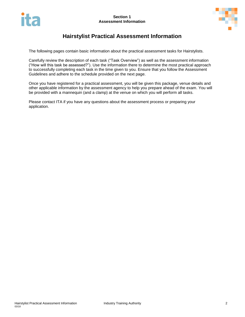

### **Hairstylist Practical Assessment Information**

<span id="page-4-0"></span>The following pages contain basic information about the practical assessment tasks for Hairstylists.

Carefully review the description of each task ("Task Overview") as well as the assessment information ("How will this task be assessed?"). Use the information there to determine the most practical approach to successfully completing each task in the time given to you. Ensure that you follow the Assessment Guidelines and adhere to the schedule provided on the next page.

Once you have registered for a practical assessment, you will be given this package, venue details and other applicable information by the assessment agency to help you prepare ahead of the exam. You will be provided with a mannequin (and a clamp) at the venue on which you will perform all tasks.

Please contact ITA if you have any questions about the assessment process or preparing your application.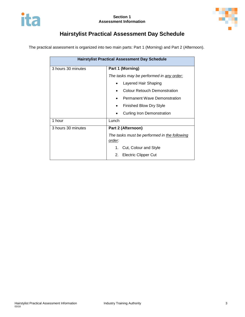

## **Hairstylist Practical Assessment Day Schedule**

<span id="page-5-0"></span>The practical assessment is organized into two main parts: Part 1 (Morning) and Part 2 (Afternoon).

| <b>Hairstylist Practical Assessment Day Schedule</b> |                                                        |  |
|------------------------------------------------------|--------------------------------------------------------|--|
| 3 hours 30 minutes                                   | Part 1 (Morning)                                       |  |
|                                                      | The tasks may be performed in any order:               |  |
|                                                      | Layered Hair Shaping                                   |  |
|                                                      | <b>Colour Retouch Demonstration</b>                    |  |
|                                                      | <b>Permanent Wave Demonstration</b>                    |  |
|                                                      | <b>Finished Blow Dry Style</b>                         |  |
|                                                      | <b>Curling Iron Demonstration</b>                      |  |
| 1 hour                                               | Lunch                                                  |  |
| 3 hours 30 minutes                                   | Part 2 (Afternoon)                                     |  |
|                                                      | The tasks must be performed in the following<br>order: |  |
|                                                      | Cut, Colour and Style<br>1.                            |  |
|                                                      | <b>Electric Clipper Cut</b><br>2.                      |  |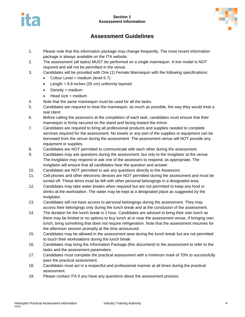

#### **Section 1 Assessment Information**



### **Assessment Guidelines**

- <span id="page-6-0"></span>1. Please note that this information package may change frequently. The most recent information package is always available on the ITA website.
- 2. The assessment (all tasks) MUST be performed on a single mannequin. A live model is NOT required and will not be permitted in the venue.
- 3. Candidates will be provided with One (1) Female Mannequin with the following specifications:
	- Colour Level = medium (level  $5-7$ )
	- $\bullet$  Length = 9.8 inches (25 cm) uniformly layered
	- $\bullet$  Density = medium
	- $\bullet$  Head size = medium
- 4. Note that the same mannequin must be used for all the tasks.
- 5. Candidates are required to treat the mannequin, as much as possible, the way they would treat a real client.
- 6. Before calling the assessors at the completion of each task, candidates must ensure that their mannequin is firmly secured on the stand and facing toward the mirror.
- 7. Candidates are required to bring all professional products and supplies needed to complete services required for the assessment. No towels or any part of the supplies or equipment can be borrowed from the venue during the assessment. The assessment venue will NOT provide any equipment or supplies.
- 8. Candidates are NOT permitted to communicate with each other during the assessment.
- 9. Candidates may ask questions during the assessment, but only to the Invigilator at the venue. The Invigilator may respond or ask one of the assessors to respond, as appropriate. The Invigilator will ensure that all candidates hear the question and answer.
- 10. Candidates are NOT permitted to ask any questions directly to the Assessors.
- 11. Cell phones and other electronic devices are NOT permitted during the assessment and must be turned off. These items must be left with other personal belongings in a designated area.
- 12. Candidates may take water breaks when required but are not permitted to keep any food or drinks at the workstation. The water may be kept at a designated place as suggested by the invigilator.
- 13. Candidates will not have access to personal belongings during the assessment. They may access their belongings only during the lunch break and at the conclusion of the assessment.
- 14. The duration for the lunch break is 1 hour. Candidates are advised to bring their own lunch as there may be limited or no options to buy lunch at or near the assessment venue. If bringing own lunch, bring something that does not require refrigeration. Note that the assessment resumes for the afternoon session promptly at the time announced.
- 15. Candidates may be allowed in the assessment area during the lunch break but are not permitted to touch their workstations during the lunch break.
- 16. Candidates may bring the Information Package (this document) to the assessment to refer to the tasks and the assessment parameters.
- 17. Candidates must complete the practical assessment with a minimum mark of 70% to successfully pass the practical assessment.
- 18. Candidates must act in a respectful and professional manner at all times during the practical assessment.
- 19. Please contact ITA if you have any questions about the assessment process.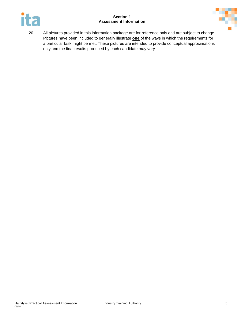#### **Section 1 Assessment Information**





20. All pictures provided in this information package are for reference only and are subject to change. Pictures have been included to generally illustrate **one** of the ways in which the requirements for a particular task might be met. These pictures are intended to provide conceptual approximations only and the final results produced by each candidate may vary.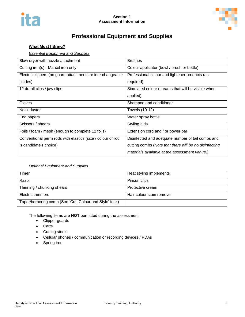

## **Professional Equipment and Supplies**

#### <span id="page-8-0"></span>**What Must I Bring?**

#### *Essential Equipment and Supplies*

| Blow dryer with nozzle attachment                          | <b>Brushes</b>                                         |
|------------------------------------------------------------|--------------------------------------------------------|
| Curling iron(s) - Marcel iron only                         | Colour applicator (bowl / brush or bottle)             |
| Electric clippers (no guard attachments or interchangeable | Professional colour and lightener products (as         |
| blades)                                                    | required)                                              |
| 12 du-all clips / jaw clips                                | Simulated colour (creams that will be visible when     |
|                                                            | applied)                                               |
| Gloves                                                     | Shampoo and conditioner                                |
| Neck duster                                                | Towels (10-12)                                         |
| End papers                                                 | Water spray bottle                                     |
| Scissors / shears                                          | Styling aids                                           |
| Foils / foam / mesh (enough to complete 12 foils)          | Extension cord and / or power bar                      |
| Conventional perm rods with elastics (size / colour of rod | Disinfected and adequate number of tail combs and      |
| is candidate's choice)                                     | cutting combs (Note that there will be no disinfecting |
|                                                            | materials available at the assessment venue.)          |

#### *Optional Equipment and Supplies*

| Timer                                                   | Heat styling implements   |
|---------------------------------------------------------|---------------------------|
| Razor                                                   | Pincurl clips             |
| Thinning / chunking shears                              | Protective cream          |
| Electric trimmers                                       | Hair colour stain remover |
| Taper/barbering comb (See 'Cut, Colour and Style' task) |                           |

The following items are **NOT** permitted during the assessment:

- Clipper guards
- Carts
- Cutting stools
- Cellular phones / communication or recording devices / PDAs
- Spring iron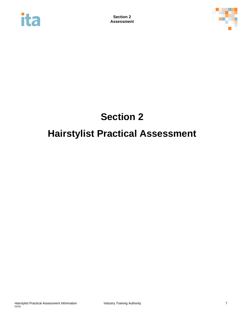<span id="page-9-0"></span>



## **Section 2 Hairstylist Practical Assessment**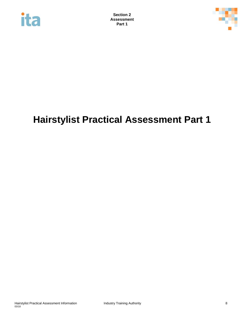



## **Hairstylist Practical Assessment Part 1**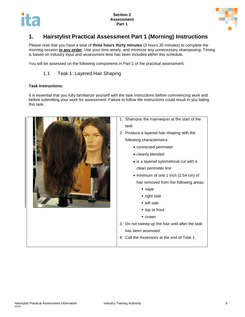

### <span id="page-11-0"></span>**1. Hairstylist Practical Assessment Part 1 (Morning) Instructions**

Please note that you have a total of **three hours thirty minutes** (3 hours 30 minutes) to complete the morning session **in any order**. Use your time wisely, and minimize any unnecessary shampooing. Timing is based on industry input and assessment time has been included within this schedule.

<span id="page-11-1"></span>You will be assessed on the following components in Part 1 of the practical assessment:

1.1 Task 1: Layered Hair Shaping

#### **Task Instructions:**

It is essential that you fully familiarize yourself with the task instructions before commencing work and before submitting your work for assessment. Failure to follow the instructions could result in you failing this task.

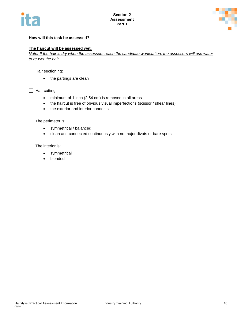



#### **How will this task be assessed?**

#### **The haircut will be assessed wet.**

*Note: If the hair is dry when the assessors reach the candidate workstation, the assessors will use water to re-wet the hair.* 

 $\Box$  Hair sectioning:

• the partings are clean

 $\Box$  Hair cutting:

- minimum of 1 inch (2.54 cm) is removed in all areas
- the haircut is free of obvious visual imperfections (scissor / shear lines)
- the exterior and interior connects

 $\Box$  The perimeter is:

- symmetrical / balanced
- clean and connected continuously with no major divots or bare spots

 $\Box$  The interior is:

- symmetrical
- blended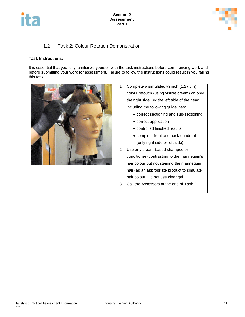



#### 1.2 Task 2: Colour Retouch Demonstration

#### <span id="page-13-0"></span>**Task Instructions:**

It is essential that you fully familiarize yourself with the task instructions before commencing work and before submitting your work for assessment. Failure to follow the instructions could result in you failing this task.

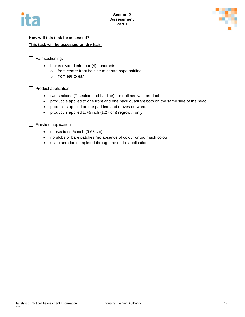



#### **How will this task be assessed? This task will be assessed on dry hair.**

 $\Box$  Hair sectioning:

- hair is divided into four (4) quadrants:
	- o from centre front hairline to centre nape hairline
		- o from ear to ear

 $\Box$  Product application:

- two sections (T-section and hairline) are outlined with product
- product is applied to one front and one back quadrant both on the same side of the head
- product is applied on the part line and moves outwards
- product is applied to  $\frac{1}{2}$  inch (1.27 cm) regrowth only

Finished application:

- $\bullet$  subsections  $\frac{1}{4}$  inch (0.63 cm)
- no globs or bare patches (no absence of colour or too much colour)
- scalp aeration completed through the entire application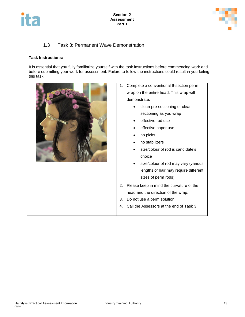



#### 1.3 Task 3: Permanent Wave Demonstration

#### <span id="page-15-0"></span>**Task Instructions:**

It is essential that you fully familiarize yourself with the task instructions before commencing work and before submitting your work for assessment. Failure to follow the instructions could result in you failing this task.

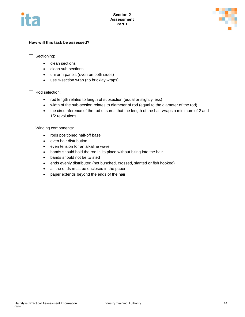



#### **How will this task be assessed?**

□ Sectioning:

- clean sections
- clean sub-sections
- uniform panels (even on both sides)
- use 9-section wrap (no bricklay wraps)

Rod selection:

- rod length relates to length of subsection (equal or slightly less)
- width of the sub-section relates to diameter of rod (equal to the diameter of the rod)
- the circumference of the rod ensures that the length of the hair wraps a minimum of 2 and 1/2 revolutions

Winding components:

- rods positioned half-off base
- even hair distribution
- even tension for an alkaline wave
- bands should hold the rod in its place without biting into the hair
- bands should not be twisted
- ends evenly distributed (not bunched, crossed, slanted or fish hooked)
- all the ends must be enclosed in the paper
- paper extends beyond the ends of the hair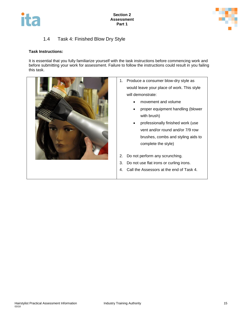



#### 1.4 Task 4: Finished Blow Dry Style

#### <span id="page-17-0"></span>**Task Instructions:**

It is essential that you fully familiarize yourself with the task instructions before commencing work and before submitting your work for assessment. Failure to follow the instructions could result in you failing this task.



- 1. Produce a consumer blow-dry style as would leave your place of work. This style will demonstrate:
	- movement and volume
	- proper equipment handling (blower with brush)
	- professionally finished work (use vent and/or round and/or 7/9 row brushes, combs and styling aids to complete the style)
- 2. Do not perform any scrunching.
- 3. Do not use flat irons or curling irons.
- 4. Call the Assessors at the end of Task 4.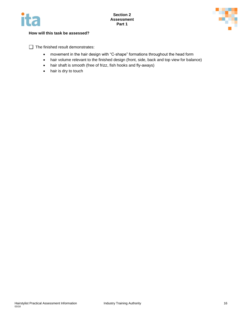



#### **How will this task be assessed?**

 $\Box$  The finished result demonstrates:

- movement in the hair design with "C-shape" formations throughout the head form
- hair volume relevant to the finished design (front, side, back and top view for balance)
- hair shaft is smooth (free of frizz, fish hooks and fly-aways)
- <span id="page-18-0"></span>• hair is dry to touch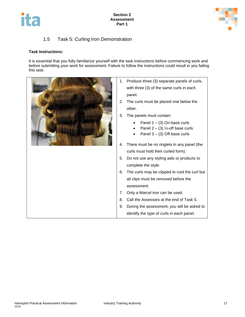



#### 1.5 Task 5: Curling Iron Demonstration

#### **Task Instructions:**

It is essential that you fully familiarize yourself with the task instructions before commencing work and before submitting your work for assessment. Failure to follow the instructions could result in you failing this task.

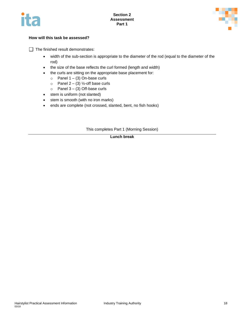



#### **How will this task be assessed?**

 $\Box$  The finished result demonstrates:

- width of the sub-section is appropriate to the diameter of the rod (equal to the diameter of the rod)
- the size of the base reflects the curl formed (length and width)
- the curls are sitting on the appropriate base placement for:
	- $\circ$  Panel 1 (3) On-base curls
	- $\circ$  Panel 2 (3) ½-off base curls
	- $\circ$  Panel 3 (3) Off-base curls
- stem is uniform (not slanted)
- stem is smooth (with no iron marks)
- ends are complete (not crossed, slanted, bent, no fish hooks)

This completes Part 1 (Morning Session)

**Lunch break**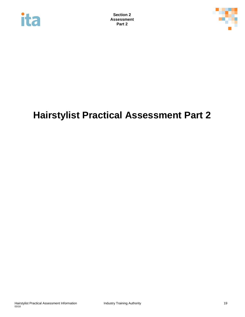



## **Hairstylist Practical Assessment Part 2**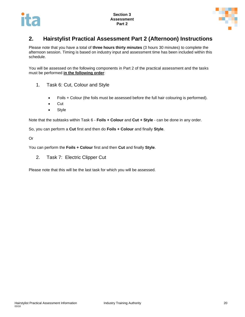

### <span id="page-22-0"></span>**2. Hairstylist Practical Assessment Part 2 (Afternoon) Instructions**

Please note that you have a total of **three hours thirty minutes** (3 hours 30 minutes) to complete the afternoon session. Timing is based on industry input and assessment time has been included within this schedule.

You will be assessed on the following components in Part 2 of the practical assessment and the tasks must be performed **in the following order**:

- 1. Task 6: Cut, Colour and Style
	- Foils + Colour (the foils must be assessed before the full hair colouring is performed).
	- Cut
	- Style

Note that the subtasks within Task 6 - **Foils + Colour** and **Cut + Style** - can be done in any order.

So, you can perform a **Cut** first and then do **Foils + Colour** and finally **Style**.

Or

You can perform the **Foils + Colour** first and then **Cut** and finally **Style**.

2. Task 7: Electric Clipper Cut

Please note that this will be the last task for which you will be assessed.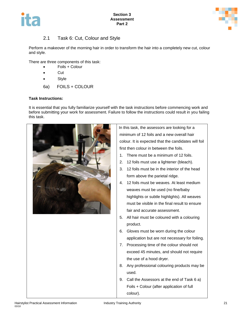



#### 2.1 Task 6: Cut, Colour and Style

<span id="page-23-0"></span>Perform a makeover of the morning hair in order to transform the hair into a completely new cut, colour and style.

There are three components of this task:

- Foils + Colour
- **Cut**
- Style
- 6a) FOILS + COLOUR

#### **Task Instructions:**

It is essential that you fully familiarize yourself with the task instructions before commencing work and before submitting your work for assessment. Failure to follow the instructions could result in you failing this task.



In this task, the assessors are looking for a minimum of 12 foils and a new overall hair colour. It is expected that the candidates will foil first then colour in between the foils.

- 1. There must be a minimum of 12 foils.
- 2. 12 foils must use a lightener (bleach).
- 3. 12 foils must be in the interior of the head form above the parietal ridge.
- 4. 12 foils must be weaves. At least medium weaves must be used (no fine/baby highlights or subtle highlights). All weaves must be visible in the final result to ensure fair and accurate assessment.
- 5. All hair must be coloured with a colouring product.
- 6. Gloves must be worn during the colour application but are not necessary for foiling.
- 7. Processing time of the colour should not exceed 45 minutes, and should not require the use of a hood dryer.
- 8. Any professional colouring products may be used.
- 9. Call the Assessors at the end of Task 6 a) Foils + Colour (after application of full colour).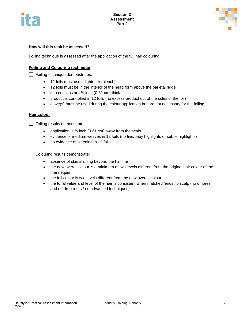



#### **How will this task be assessed?**

Foiling technique is assessed after the application of the full hair colouring.

#### **Foiling and Colouring technique**

Foiling technique demonstrates:

- 12 foils must use a lightener (bleach)
- 12 foils must be in the interior of the head form above the parietal ridge
- $\bullet$  sub-sections are  $\frac{1}{6}$  inch (0.31 cm) thick
- product is controlled in 12 foils (no excess product out of the sides of the foil)
- glove(s) must be used during the colour application but are not necessary for the foiling

#### **Hair colour**

 $\Box$  Foiling results demonstrate:

- application is  $\frac{1}{6}$  inch (0.31 cm) away from the scalp
- evidence of medium weaves in 12 foils (no fine/baby highlights or subtle highlights)
- no evidence of bleeding in 12 foils

 $\Box$  Colouring results demonstrate:

- absence of skin staining beyond the hairline
- the new overall colour is a minimum of two levels different from the original hair colour of the mannequin
- the foil colour is two levels different from the new overall colour
- the tonal value and level of the hair is consistent when matched 'ends' to scalp (no ombres and no drop roots / no advanced techniques)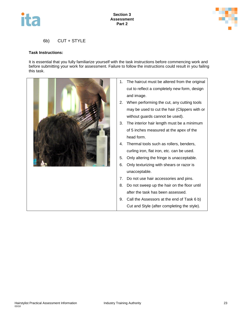



#### 6b) CUT + STYLE

#### **Task Instructions:**

It is essential that you fully familiarize yourself with the task instructions before commencing work and before submitting your work for assessment. Failure to follow the instructions could result in you failing this task.

|  | The haircut must be altered from the original<br>1. |
|--|-----------------------------------------------------|
|  | cut to reflect a completely new form, design        |
|  | and image.                                          |
|  | When performing the cut, any cutting tools<br>2.    |
|  | may be used to cut the hair (Clippers with or       |
|  | without guards cannot be used).                     |
|  | The interior hair length must be a minimum<br>3.    |
|  | of 5 inches measured at the apex of the             |
|  | head form.                                          |
|  | Thermal tools such as rollers, benders,<br>4.       |
|  | curling iron, flat iron, etc. can be used.          |
|  | 5.<br>Only altering the fringe is unacceptable.     |
|  | Only texturizing with shears or razor is<br>6.      |
|  | unacceptable.                                       |
|  | Do not use hair accessories and pins.<br>7.         |
|  | Do not sweep up the hair on the floor until<br>8.   |
|  | after the task has been assessed.                   |
|  | Call the Assessors at the end of Task 6 b)<br>9.    |
|  | Cut and Style (after completing the style).         |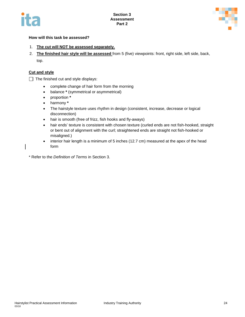



#### **How will this task be assessed?**

- 1. **The cut will NOT be assessed separately.**
- 2. **The finished hair style will be assessed** from 5 (five) viewpoints: front, right side, left side, back, top.

#### **Cut and style**

 $\Box$  The finished cut and style displays:

- complete change of hair form from the morning
- balance **\*** (symmetrical or asymmetrical)
- proportion **\***
- harmony **\***
- The hairstyle texture uses rhythm in design (consistent, increase, decrease or logical disconnection)
- hair is smooth (free of frizz, fish hooks and fly-aways)
- hair ends' texture is consistent with chosen texture (curled ends are not fish-hooked, straight or bent out of alignment with the curl; straightened ends are straight not fish-hooked or misaligned.)
- interior hair length is a minimum of 5 inches (12.7 cm) measured at the apex of the head form

\* Refer to the *Definition of Terms* in Section 3.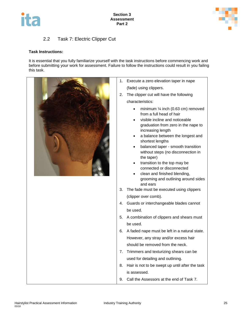



#### 2.2 Task 7: Electric Clipper Cut

#### <span id="page-27-0"></span>**Task Instructions:**

It is essential that you fully familiarize yourself with the task instructions before commencing work and before submitting your work for assessment. Failure to follow the instructions could result in you failing this task.



- 1. Execute a zero elevation taper in nape (fade) using clippers.
- 2. The clipper cut will have the following
	- minimum ¼ inch (0.63 cm) removed from a full head of hair
	- visible incline and noticeable graduation from zero in the nape to increasing length
	- a balance between the longest and shortest lengths
	- balanced taper smooth transition without steps (no disconnection in
	- transition to the top may be connected or disconnected
	- clean and finished blending, grooming and outlining around sides
- 3. The fade must be executed using clippers (clipper over comb).
- 4. Guards or interchangeable blades cannot
- 5. A combination of clippers and shears must
- 6. A faded nape must be left in a natural state. However, any stray and/or excess hair should be removed from the neck.
- 7. Trimmers and texturizing shears can be used for detailing and outlining.
- 8. Hair is not to be swept up until after the task
- 9. Call the Assessors at the end of Task 7.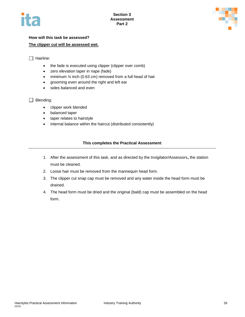



#### **How will this task be assessed? The clipper cut will be assessed wet.**

#### $\Box$  Hairline:

- the fade is executed using clipper (clipper over comb)
- zero elevation taper in nape (fade)
- minimum 1/4 inch (0.63 cm) removed from a full head of hair
- grooming even around the right and left ear
- sides balanced and even

#### Blending:

- clipper work blended
- balanced taper
- taper relates to hairstyle
- internal balance within the haircut (distributed consistently)

#### **This completes the Practical Assessment**

- 1. After the assessment of this task, and as directed by the Invigilator/Assessors**,** the station must be cleaned.
- 2. Loose hair must be removed from the mannequin head form.
- 3. The clipper cut snap cap must be removed and any water inside the head form must be drained.
- 4. The head form must be dried and the original (bald) cap must be assembled on the head form.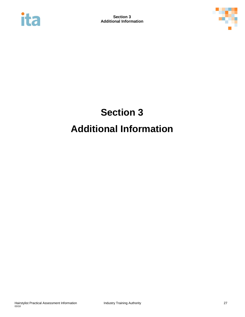<span id="page-29-0"></span>



## **Section 3 Additional Information**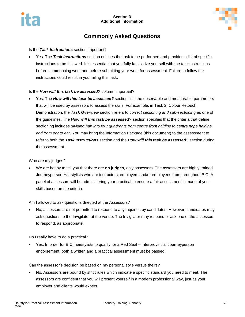

## **Commonly Asked Questions**

#### <span id="page-30-0"></span>Is the *Task Instructions* section important?

 Yes. The *Task Instructions* section outlines the task to be performed and provides a list of specific instructions to be followed. It is essential that you fully familiarize yourself with the task instructions before commencing work and before submitting your work for assessment. Failure to follow the instructions could result in you failing this task.

#### Is the *How will this task be assessed?* column important?

 Yes. The *How will this task be assessed?* section lists the observable and measurable parameters that will be used by assessors to assess the skills. For example, in Task 2: Colour Retouch Demonstration, the *Task Overview* section refers to *correct sectioning and sub-sectioning* as one of the guidelines. The *How will this task be assessed?* section specifies that the criteria that define sectioning includes *dividing hair into four quadrants from centre front hairline to centre nape hairline and from ear to ear.* You may bring the Information Package (this document) to the assessment to refer to both the *Task Instructions* section and the *How will this task be assessed?* section during the assessment.

Who are my judges?

 We are happy to tell you that there are **no judges**, only assessors. The assessors are highly trained Journeyperson Hairstylists who are instructors, employers and/or employees from throughout B.C. A panel of assessors will be administering your practical to ensure a fair assessment is made of your skills based on the criteria.

#### Am I allowed to ask questions directed at the Assessors?

 No, assessors are not permitted to respond to any inquiries by candidates. However, candidates may ask questions to the Invigilator at the venue. The Invigilator may respond or ask one of the assessors to respond, as appropriate.

Do I really have to do a practical?

 Yes. In order for B.C. hairstylists to qualify for a Red Seal – Interprovincial Journeyperson endorsement, both a written and a practical assessment must be passed.

Can the assessor's decision be based on my personal style versus theirs?

 No. Assessors are bound by strict rules which indicate a specific standard you need to meet. The assessors are confident that you will present yourself in a modern professional way, just as your employer and clients would expect.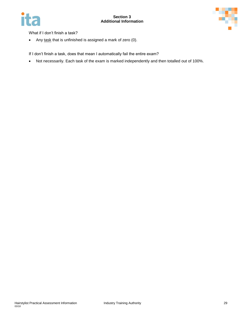



What if I don't finish a task?

• Any task that is unfinished is assigned a mark of zero (0).

If I don't finish a task, does that mean I automatically fail the entire exam?

Not necessarily. Each task of the exam is marked independently and then totalled out of 100%.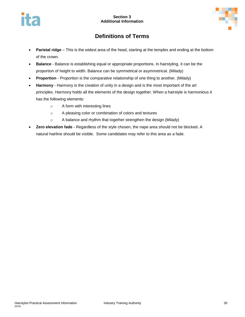

## **Definitions of Terms**

- <span id="page-32-0"></span> **Parietal ridge** – This is the widest area of the head, starting at the temples and ending at the bottom of the crown.
- **Balance** Balance is establishing equal or appropriate proportions. In hairstyling, it can be the proportion of height to width. Balance can be symmetrical or asymmetrical. (Milady)
- **Proportion** Proportion is the comparative relationship of one thing to another. (Milady)
- **Harmony** Harmony is the creation of unity in a design and is the most important of the art principles. Harmony holds all the elements of the design together. When a hairstyle is harmonious it has the following elements:
	- o A form with interesting lines
	- o A pleasing color or combination of colors and textures
	- o A balance and rhythm that together strengthen the design (Milady)
- **Zero elevation fade** Regardless of the style chosen, the nape area should not be blocked. A natural hairline should be visible. Some candidates may refer to this area as a fade.